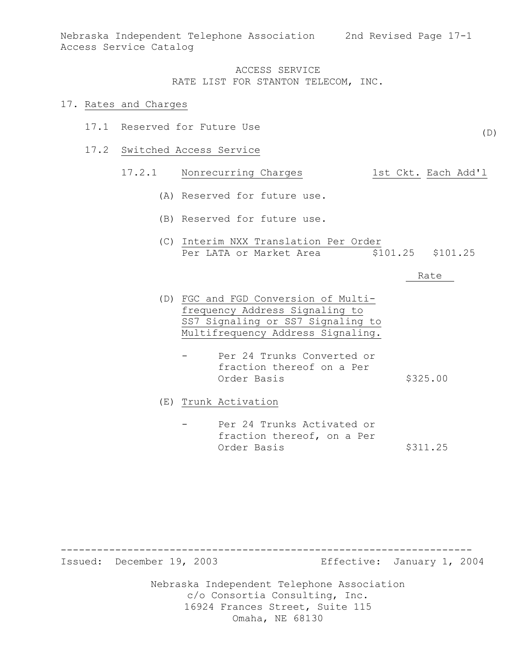Nebraska Independent Telephone Association 2nd Revised Page 17-1 Access Service Catalog

#### ACCESS SERVICE RATE LIST FOR STANTON TELECOM, INC.

#### 17. Rates and Charges

- 17.1 Reserved for Future Use
- 17.2 Switched Access Service

## 17.2.1 Nonrecurring Charges 1st Ckt. Each Add'l

- (A) Reserved for future use.
- (B) Reserved for future use.
- (C) Interim NXX Translation Per Order Per LATA or Market Area  $$101.25$  \$101.25

#### Rate

(D)

- (D) FGC and FGD Conversion of Multifrequency Address Signaling to SS7 Signaling or SS7 Signaling to Multifrequency Address Signaling.
	- Per 24 Trunks Converted or fraction thereof on a Per Order Basis \$325.00

(E) Trunk Activation

Per 24 Trunks Activated or fraction thereof, on a Per Order Basis \$311.25

--------------------------------------------------------------------

Issued: December 19, 2003 Effective: January 1, 2004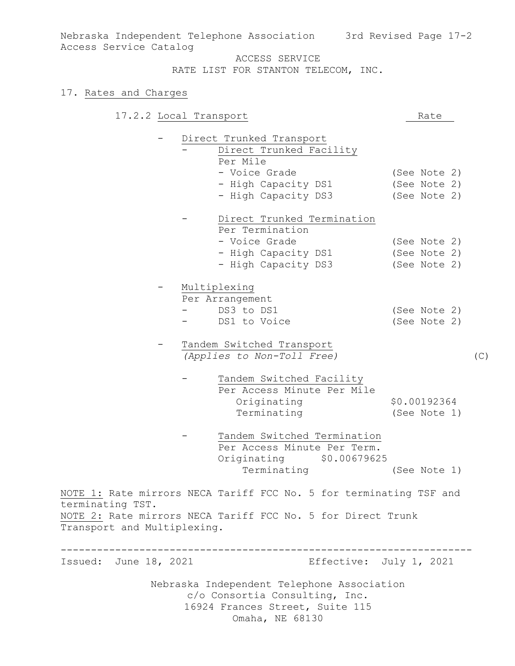Nebraska Independent Telephone Association 3rd Revised Page 17-2 Access Service Catalog

ACCESS SERVICE

RATE LIST FOR STANTON TELECOM, INC.

### 17. Rates and Charges

|                                                 | 17.2.2 Local Transport                                                                                                            | Rate                                         |     |
|-------------------------------------------------|-----------------------------------------------------------------------------------------------------------------------------------|----------------------------------------------|-----|
|                                                 | Direct Trunked Transport<br>Direct Trunked Facility                                                                               |                                              |     |
|                                                 | Per Mile<br>- Voice Grade<br>- High Capacity DS1<br>- High Capacity DS3                                                           | (See Note 2)<br>(See Note 2)<br>(See Note 2) |     |
|                                                 | Direct Trunked Termination<br>Per Termination<br>- Voice Grade<br>- High Capacity DS1<br>- High Capacity DS3                      | (See Note 2)<br>(See Note 2)<br>(See Note 2) |     |
|                                                 | Multiplexing<br>Per Arrangement<br>DS3 to DS1<br>DS1 to Voice                                                                     | (See Note 2)<br>(See Note 2)                 |     |
|                                                 | Tandem Switched Transport<br>(Applies to Non-Toll Free)                                                                           |                                              | (C) |
|                                                 | Tandem Switched Facility<br>Per Access Minute Per Mile<br>Originating<br>Terminating                                              | \$0.00192364<br>(See Note 1)                 |     |
|                                                 | Tandem Switched Termination<br>Per Access Minute Per Term.<br>Originating \$0.00679625<br>Terminating                             | (See Note 1)                                 |     |
| terminating TST.<br>Transport and Multiplexing. | NOTE 1: Rate mirrors NECA Tariff FCC No. 5 for terminating TSF and<br>NOTE 2: Rate mirrors NECA Tariff FCC No. 5 for Direct Trunk |                                              |     |
| Issued: June 18, 2021                           | Nebraska Independent Telephone Association<br>c/o Consortia Consulting, Inc.                                                      | Effective: July 1, 2021                      |     |
|                                                 | 16924 Frances Street, Suite 115<br>Omaha, NE 68130                                                                                |                                              |     |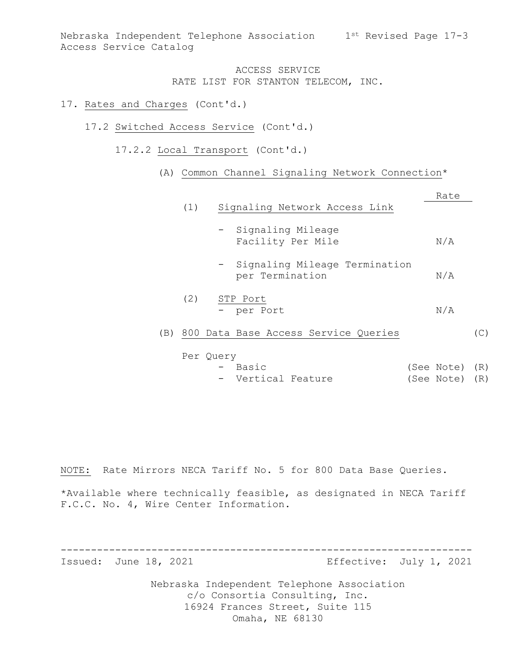Nebraska Independent Telephone Association 1st Revised Page 17-3 Access Service Catalog

### ACCESS SERVICE RATE LIST FOR STANTON TELECOM, INC.

#### 17. Rates and Charges (Cont'd.)

- 17.2 Switched Access Service (Cont'd.)
	- 17.2.2 Local Transport (Cont'd.)
		- (A) Common Channel Signaling Network Connection\*

|                 |                                                    | Rate |     |
|-----------------|----------------------------------------------------|------|-----|
| (1)             | Signaling Network Access Link                      |      |     |
|                 | - Signaling Mileage<br>Facility Per Mile           | N/A  |     |
|                 | - Signaling Mileage Termination<br>per Termination | N/A  |     |
| (2)<br>STP Port | - per Port                                         | N/A  |     |
| (B)             | 800 Data Base Access Service Queries               |      | (C) |
| Per Ouery       |                                                    |      |     |

- Basic (See Note) (R) - Vertical Feature (See Note) (R)

NOTE: Rate Mirrors NECA Tariff No. 5 for 800 Data Base Queries.

\*Available where technically feasible, as designated in NECA Tariff F.C.C. No. 4, Wire Center Information.

-------------------------------------------------------------------- Issued: June 18, 2021 Effective: July 1, 2021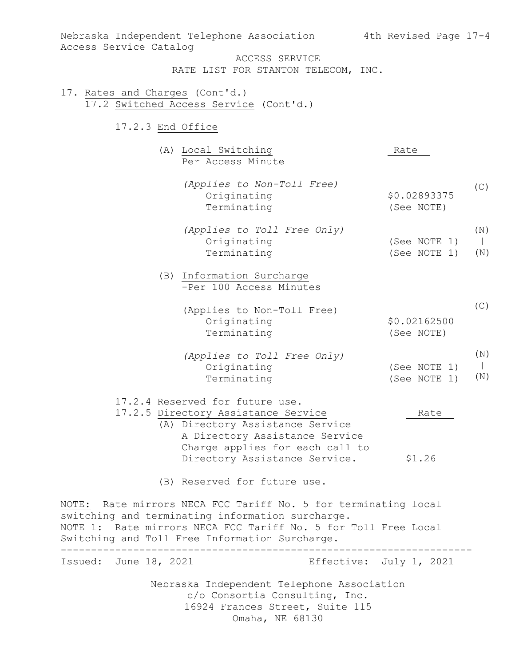Nebraska Independent Telephone Association c/o Consortia Consulting, Inc. 16924 Frances Street, Suite 115 Omaha, NE 68130 Nebraska Independent Telephone Association 4th Revised Page 17-4 Access Service Catalog ACCESS SERVICE RATE LIST FOR STANTON TELECOM, INC. 17. Rates and Charges (Cont'd.) 17.2 Switched Access Service (Cont'd.) 17.2.3 End Office (A) Local Switching Rate Per Access Minute *(Applies to Non-Toll Free)* Originating \$0.02893375 Terminating (See NOTE) *(Applies to Toll Free Only)* Originating (See NOTE 1) Terminating (See NOTE 1) (B) Information Surcharge -Per 100 Access Minutes (Applies to Non-Toll Free) Originating \$0.02162500 Terminating (See NOTE) *(Applies to Toll Free Only)* Originating (See NOTE 1) Terminating (See NOTE 1) 17.2.4 Reserved for future use. 17.2.5 Directory Assistance Service The Rate (A) Directory Assistance Service A Directory Assistance Service Charge applies for each call to Directory Assistance Service. \$1.26 (B) Reserved for future use. NOTE: Rate mirrors NECA FCC Tariff No. 5 for terminating local switching and terminating information surcharge. NOTE 1: Rate mirrors NECA FCC Tariff No. 5 for Toll Free Local Switching and Toll Free Information Surcharge. -------------------------------------------------------------------- Issued: June 18, 2021 Effective: July 1, 2021  $(C)$ (N)  $\blacksquare$ (N)  $(C)$ (N)  $\blacksquare$ (N)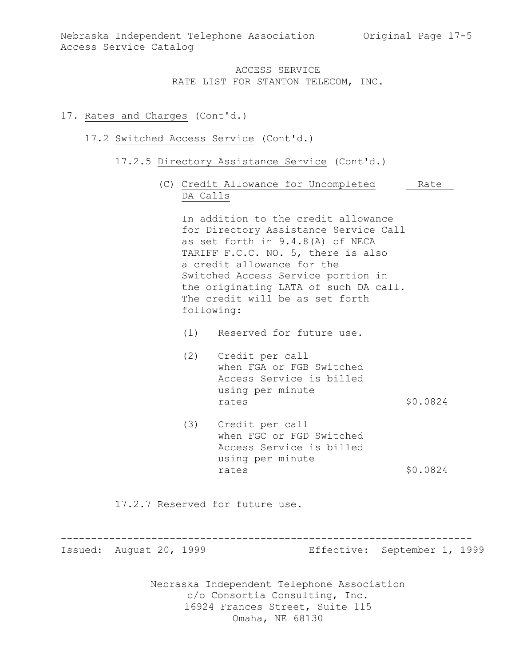#### 17. Rates and Charges (Cont'd.)

#### 17.2 Switched Access Service (Cont'd.)

- 17.2.5 Directory Assistance Service (Cont'd.)
	- (C) Credit Allowance for Uncompleted Rate DA Calls

In addition to the credit allowance for Directory Assistance Service Call as set forth in 9.4.8(A) of NECA TARIFF F.C.C. NO. 5, there is also a credit allowance for the Switched Access Service portion in the originating LATA of such DA call. The credit will be as set forth following:

- (1) Reserved for future use.
- (2) Credit per call when FGA or FGB Switched Access Service is billed using per minute rates \$0.0824
- (3) Credit per call when FGC or FGD Switched Access Service is billed using per minute rates \$0.0824

17.2.7 Reserved for future use.

--------------------------------------------------------------------

Issued: August 20, 1999 Effective: September 1, 1999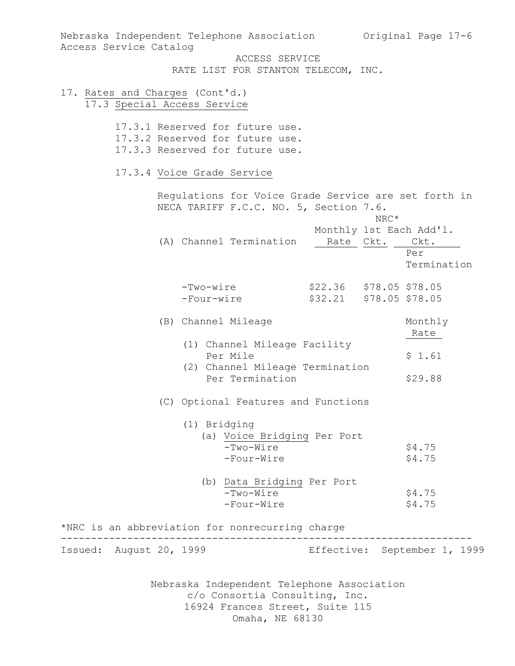| Access Service Catalog          | Nebraska Independent Telephone Association Original Page 17-6                                                                      |                                                       |
|---------------------------------|------------------------------------------------------------------------------------------------------------------------------------|-------------------------------------------------------|
|                                 | ACCESS SERVICE<br>RATE LIST FOR STANTON TELECOM, INC.                                                                              |                                                       |
| 17. Rates and Charges (Cont'd.) | 17.3 Special Access Service                                                                                                        |                                                       |
|                                 | 17.3.1 Reserved for future use.<br>17.3.2 Reserved for future use.<br>17.3.3 Reserved for future use.                              |                                                       |
|                                 | 17.3.4 Voice Grade Service                                                                                                         |                                                       |
|                                 | Regulations for Voice Grade Service are set forth in<br>NECA TARIFF F.C.C. NO. 5, Section 7.6.                                     | $\mathrm{NRC}^{\star}$                                |
|                                 | (A) Channel Termination<br>Rate Ckt.                                                                                               | Monthly 1st Each Add'l.<br>Ckt.<br>Per<br>Termination |
|                                 | -Two-wire<br>-Four-wire                                                                                                            | \$22.36 \$78.05 \$78.05<br>\$32.21 \$78.05 \$78.05    |
|                                 | (B) Channel Mileage                                                                                                                | Monthly<br>Rate                                       |
|                                 | (1) Channel Mileage Facility<br>Per Mile<br>(2) Channel Mileage Termination<br>Per Termination                                     | \$1.61<br>\$29.88                                     |
|                                 | (C) Optional Features and Functions                                                                                                |                                                       |
|                                 | (1) Bridging<br>(a) Voice Bridging Per Port                                                                                        |                                                       |
|                                 | $-Two-Wire$<br>-Four-Wire                                                                                                          | \$4.75<br>\$4.75                                      |
|                                 | (b) Data Bridging Per Port<br>-Two-Wire<br>-Four-Wire                                                                              | \$4.75<br>\$4.75                                      |
|                                 | *NRC is an abbreviation for nonrecurring charge                                                                                    |                                                       |
| Issued: August 20, 1999         |                                                                                                                                    | Effective: September 1, 1999                          |
|                                 | Nebraska Independent Telephone Association<br>c/o Consortia Consulting, Inc.<br>16924 Frances Street, Suite 115<br>Omaha, NE 68130 |                                                       |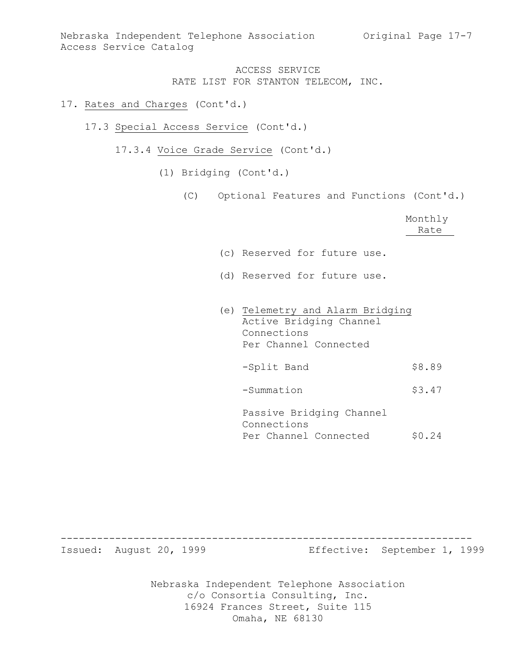#### 17. Rates and Charges (Cont'd.)

- 17.3 Special Access Service (Cont'd.)
	- 17.3.4 Voice Grade Service (Cont'd.)
		- (1) Bridging (Cont'd.)
			- (C) Optional Features and Functions (Cont'd.)

|                                                                                                     | Monthly<br>Rate |
|-----------------------------------------------------------------------------------------------------|-----------------|
| (c) Reserved for future use.                                                                        |                 |
| (d) Reserved for future use.                                                                        |                 |
| (e) Telemetry and Alarm Bridging<br>Active Bridging Channel<br>Connections<br>Per Channel Connected |                 |
| -Split Band                                                                                         | 58.89           |

-Summation \$3.47

Passive Bridging Channel Connections Per Channel Connected \$0.24

Issued: August 20, 1999 Effective: September 1, 1999

Nebraska Independent Telephone Association c/o Consortia Consulting, Inc. 16924 Frances Street, Suite 115 Omaha, NE 68130

--------------------------------------------------------------------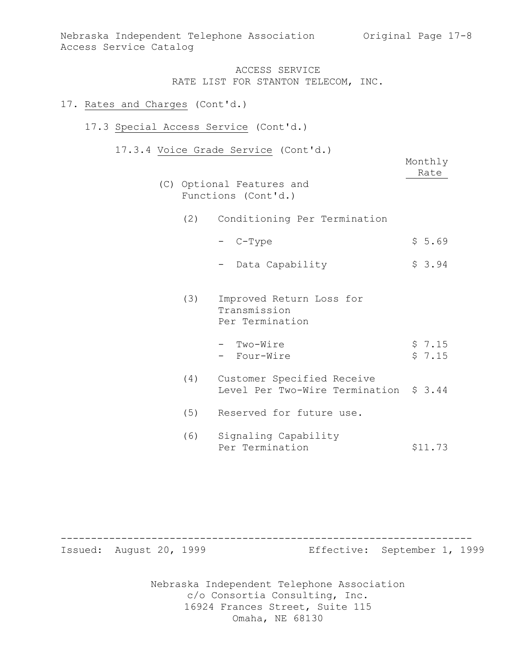#### 17. Rates and Charges (Cont'd.)

## 17.3 Special Access Service (Cont'd.)

17.3.4 Voice Grade Service (Cont'd.)

(C) Optional Features and Functions (Cont'd.)

|     | e grade bervice (conc d.)<br>Optional Features and<br>Functions (Cont'd.) | Monthly<br>Rate |
|-----|---------------------------------------------------------------------------|-----------------|
|     | (2) Conditioning Per Termination                                          |                 |
|     | - C-Type                                                                  | \$5.69          |
|     | Data Capability                                                           | \$3.94          |
| (3) | Improved Return Loss for<br>Transmission<br>Per Termination               |                 |

| - Two-Wire  | \$7.15 |
|-------------|--------|
| - Four-Wire | \$7.15 |

- (4) Customer Specified Receive Level Per Two-Wire Termination \$ 3.44
- (5) Reserved for future use.
- (6) Signaling Capability Per Termination \$11.73

-------------------------------------------------------------------- Issued: August 20, 1999 Effective: September 1, 1999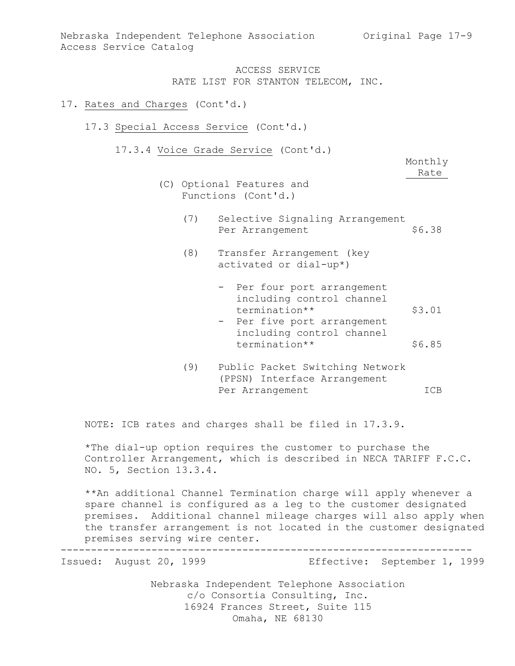#### 17. Rates and Charges (Cont'd.)

#### 17.3 Special Access Service (Cont'd.)

17.3.4 Voice Grade Service (Cont'd.)

Monthly Rate

- (C) Optional Features and Functions (Cont'd.)
	- (7) Selective Signaling Arrangement Per Arrangement \$6.38
	- (8) Transfer Arrangement (key activated or dial-up\*)
		- Per four port arrangement including control channel termination\*\* \$3.01
		- Per five port arrangement including control channel termination\*\* \$6.85
	- (9) Public Packet Switching Network (PPSN) Interface Arrangement Per Arrangement ICB

NOTE: ICB rates and charges shall be filed in 17.3.9.

\*The dial-up option requires the customer to purchase the Controller Arrangement, which is described in NECA TARIFF F.C.C. NO. 5, Section 13.3.4.

\*\*An additional Channel Termination charge will apply whenever a spare channel is configured as a leg to the customer designated premises. Additional channel mileage charges will also apply when the transfer arrangement is not located in the customer designated premises serving wire center.

-------------------------------------------------------------------- Issued: August 20, 1999 Effective: September 1, 1999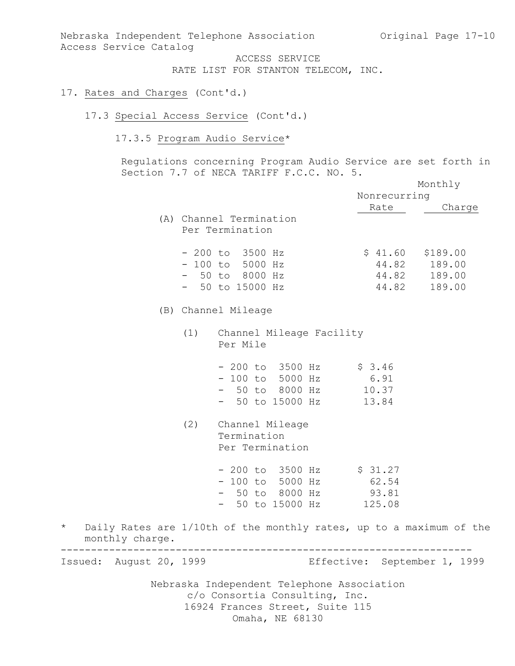Nebraska Independent Telephone Association Original Page 17-10 Access Service Catalog

> ACCESS SERVICE RATE LIST FOR STANTON TELECOM, INC.

### 17. Rates and Charges (Cont'd.)

### 17.3 Special Access Service (Cont'd.)

### 17.3.5 Program Audio Service\*

Regulations concerning Program Audio Service are set forth in Section 7.7 of NECA TARIFF F.C.C. NO. 5.

|                            |     |                                                                                                                                    |                              | Monthly                                |
|----------------------------|-----|------------------------------------------------------------------------------------------------------------------------------------|------------------------------|----------------------------------------|
|                            |     |                                                                                                                                    | Nonrecurring                 |                                        |
|                            |     |                                                                                                                                    | Rate                         | Charge                                 |
|                            |     | (A) Channel Termination<br>Per Termination                                                                                         |                              |                                        |
|                            |     | $-200$ to 3500 Hz<br>$-100$ to 5000 Hz<br>$-50$ to 8000 Hz<br>$-50$ to 15000 Hz                                                    | $$41.60$ $$189.00$<br>44.82  | 44.82 189.00<br>44.82 189.00<br>189.00 |
|                            |     | (B) Channel Mileage                                                                                                                |                              |                                        |
|                            |     | (1) Channel Mileage Facility<br>Per Mile                                                                                           |                              |                                        |
|                            |     | $-200$ to 3500 Hz $\frac{200}{7}$ \$ 3.46<br>- 100 to 5000 Hz 6.91<br>- 50 to 8000 Hz 10.37<br>$-50$ to 15000 Hz 13.84             |                              |                                        |
|                            | (2) | Channel Mileage<br>Termination<br>Per Termination                                                                                  |                              |                                        |
|                            |     | - 200 to 3500 Hz \$ 31.27<br>- 100 to 5000 Hz 62.54<br>- 50 to 8000 Hz<br>- 50 to 15000 Hz 125.08                                  | 93.81                        |                                        |
| $\star$<br>monthly charge. |     | Daily Rates are 1/10th of the monthly rates, up to a maximum of the                                                                |                              |                                        |
| Issued: August 20, 1999    |     |                                                                                                                                    | Effective: September 1, 1999 |                                        |
|                            |     | Nebraska Independent Telephone Association<br>c/o Consortia Consulting, Inc.<br>16924 Frances Street, Suite 115<br>Omaha, NE 68130 |                              |                                        |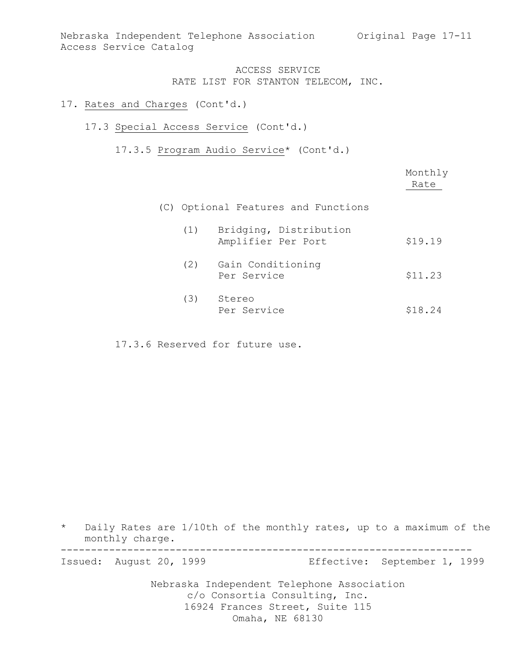Nebraska Independent Telephone Association Original Page 17-11 Access Service Catalog

### ACCESS SERVICE RATE LIST FOR STANTON TELECOM, INC.

#### 17. Rates and Charges (Cont'd.)

#### 17.3 Special Access Service (Cont'd.)

### 17.3.5 Program Audio Service\* (Cont'd.)

|     |                                              | Monthly<br>Rate |
|-----|----------------------------------------------|-----------------|
|     | (C) Optional Features and Functions          |                 |
| (1) | Bridging, Distribution<br>Amplifier Per Port | \$19.19         |
| (2) | Gain Conditioning<br>Per Service             | \$11.23         |
| (3) | Stereo<br>Per Service                        | \$18.24         |

17.3.6 Reserved for future use.

\* Daily Rates are 1/10th of the monthly rates, up to a maximum of the monthly charge. --------------------------------------------------------------------

Issued: August 20, 1999 Effective: September 1, 1999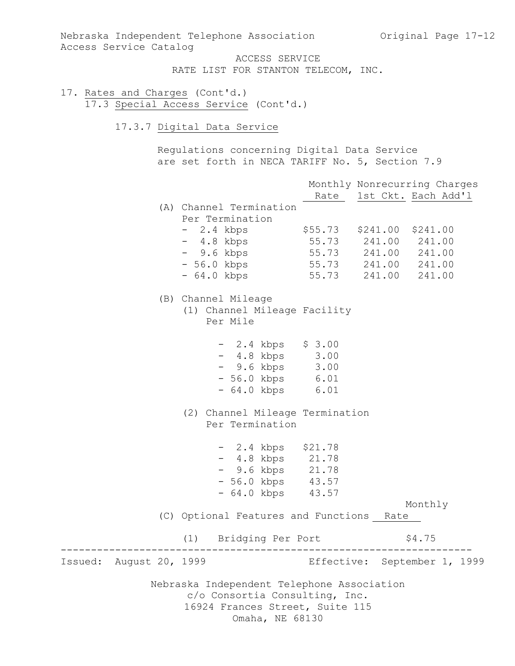Nebraska Independent Telephone Association Original Page 17-12 Access Service Catalog

ACCESS SERVICE RATE LIST FOR STANTON TELECOM, INC.

17. Rates and Charges (Cont'd.) 17.3 Special Access Service (Cont'd.)

17.3.7 Digital Data Service

Regulations concerning Digital Data Service are set forth in NECA TARIFF No. 5, Section 7.9

|                         |                                                                                                                                    |  | Monthly Nonrecurring Charges<br>Rate 1st Ckt. Each Add'l |  |
|-------------------------|------------------------------------------------------------------------------------------------------------------------------------|--|----------------------------------------------------------|--|
|                         | (A) Channel Termination                                                                                                            |  |                                                          |  |
|                         | Per Termination<br>- 2.4 kbps \$55.73 \$241.00 \$241.00                                                                            |  |                                                          |  |
|                         | - 4.8 kbps 55.73 241.00 241.00<br>- 9.6 kbps 55.73 241.00 241.00                                                                   |  |                                                          |  |
|                         |                                                                                                                                    |  |                                                          |  |
|                         | - 56.0 kbps 55.73 241.00 241.00<br>- 64.0 kbps 55.73 241.00 241.00                                                                 |  |                                                          |  |
|                         | (B) Channel Mileage<br>(1) Channel Mileage Facility<br>Per Mile                                                                    |  |                                                          |  |
|                         | $-2.4$ kbps $$3.00$                                                                                                                |  |                                                          |  |
|                         | $-4.8 \text{ kbps}$ 3.00<br>- 9.6 kbps 3.00                                                                                        |  |                                                          |  |
|                         | - 56.0 kbps 6.01                                                                                                                   |  |                                                          |  |
|                         | - 64.0 kbps 6.01                                                                                                                   |  |                                                          |  |
|                         | (2) Channel Mileage Termination                                                                                                    |  |                                                          |  |
|                         | Per Termination                                                                                                                    |  |                                                          |  |
|                         | $-2.4$ kbps $$21.78$                                                                                                               |  |                                                          |  |
|                         | - 4.8 kbps 21.78                                                                                                                   |  |                                                          |  |
|                         | - 9.6 kbps 21.78                                                                                                                   |  |                                                          |  |
|                         | $-56.0$ kbps $43.57$<br>$-64.0$ kbps $43.57$                                                                                       |  |                                                          |  |
|                         |                                                                                                                                    |  |                                                          |  |
|                         | (C) Optional Features and Functions Rate                                                                                           |  | Monthly                                                  |  |
|                         |                                                                                                                                    |  |                                                          |  |
|                         | (1) Bridging Per Port                                                                                                              |  | \$4.75                                                   |  |
| Issued: August 20, 1999 |                                                                                                                                    |  | Effective: September 1, 1999                             |  |
|                         | Nebraska Independent Telephone Association<br>c/o Consortia Consulting, Inc.<br>16924 Frances Street, Suite 115<br>Omaha, NE 68130 |  |                                                          |  |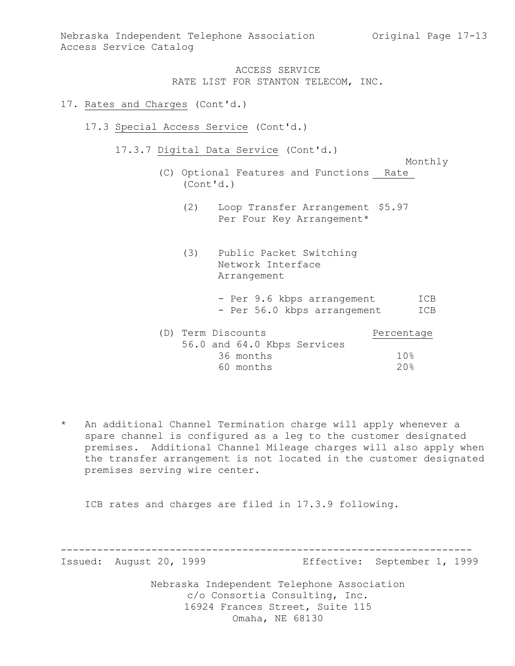Nebraska Independent Telephone Association Original Page 17-13 Access Service Catalog

> ACCESS SERVICE RATE LIST FOR STANTON TELECOM, INC.

#### 17. Rates and Charges (Cont'd.)

- 17.3 Special Access Service (Cont'd.)
	- 17.3.7 Digital Data Service (Cont'd.)

Monthly

- (C) Optional Features and Functions Rate (Cont'd.)
	- (2) Loop Transfer Arrangement \$5.97 Per Four Key Arrangement\*
	- (3) Public Packet Switching Network Interface Arrangement
		- Per 9.6 kbps arrangement ICB - Per 56.0 kbps arrangement ICB

| (D) Term Discounts |           |                             | Percentage      |
|--------------------|-----------|-----------------------------|-----------------|
|                    |           | 56.0 and 64.0 Kbps Services |                 |
|                    | 36 months |                             | 10%             |
|                    | 60 months |                             | 20 <sup>8</sup> |

\* An additional Channel Termination charge will apply whenever a spare channel is configured as a leg to the customer designated premises. Additional Channel Mileage charges will also apply when the transfer arrangement is not located in the customer designated premises serving wire center.

ICB rates and charges are filed in 17.3.9 following.

--------------------------------------------------------------------

Issued: August 20, 1999 Effective: September 1, 1999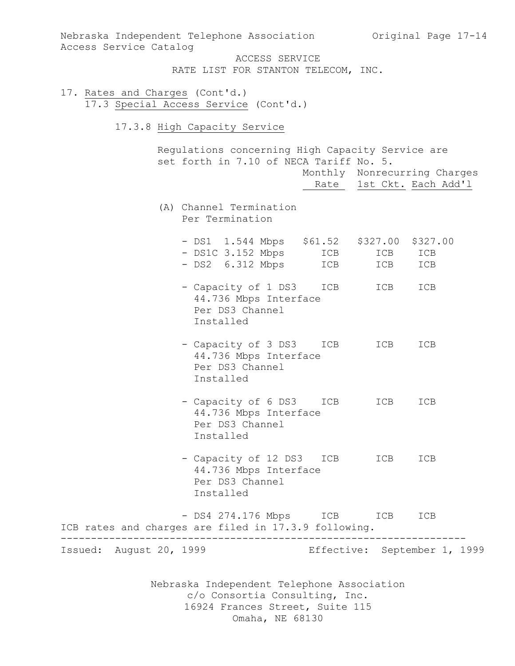Nebraska Independent Telephone Association Original Page 17-14 Access Service Catalog

> ACCESS SERVICE RATE LIST FOR STANTON TELECOM, INC.

- 17. Rates and Charges (Cont'd.) 17.3 Special Access Service (Cont'd.)
	- 17.3.8 High Capacity Service

Regulations concerning High Capacity Service are set forth in 7.10 of NECA Tariff No. 5.

|                                                      |                                                                                   | Rate       |            | Monthly Nonrecurring Charges<br>1st Ckt. Each Add'l |  |
|------------------------------------------------------|-----------------------------------------------------------------------------------|------------|------------|-----------------------------------------------------|--|
|                                                      | (A) Channel Termination<br>Per Termination                                        |            |            |                                                     |  |
|                                                      | - DS1 1.544 Mbps \$61.52 \$327.00<br>- DS1C 3.152 Mbps<br>- DS2 6.312 Mbps        | ICB<br>ICB | ICB<br>ICB | \$327.00<br>ICB<br>ICB                              |  |
|                                                      | - Capacity of 1 DS3<br>44.736 Mbps Interface<br>Per DS3 Channel<br>Installed      | ICB        | ICB        | ICB                                                 |  |
|                                                      | - Capacity of 3 DS3 ICB<br>44.736 Mbps Interface<br>Per DS3 Channel<br>Installed  |            | ICB        | ICB                                                 |  |
|                                                      | - Capacity of 6 DS3<br>44.736 Mbps Interface<br>Per DS3 Channel<br>Installed      | ICB        | ICB        | ICB                                                 |  |
|                                                      | - Capacity of 12 DS3 ICB<br>44.736 Mbps Interface<br>Per DS3 Channel<br>Installed |            | ICB        | ICB                                                 |  |
| ICB rates and charges are filed in 17.3.9 following. | - DS4 274.176 Mbps                                                                | ICB        | ICB        | ICB                                                 |  |
| Issued: August 20, 1999                              |                                                                                   |            |            | Effective: September 1, 1999                        |  |
|                                                      | Nebraska Independent Telephone Association<br>c/o Consortia Consulting, Inc.      |            |            |                                                     |  |

16924 Frances Street, Suite 115 Omaha, NE 68130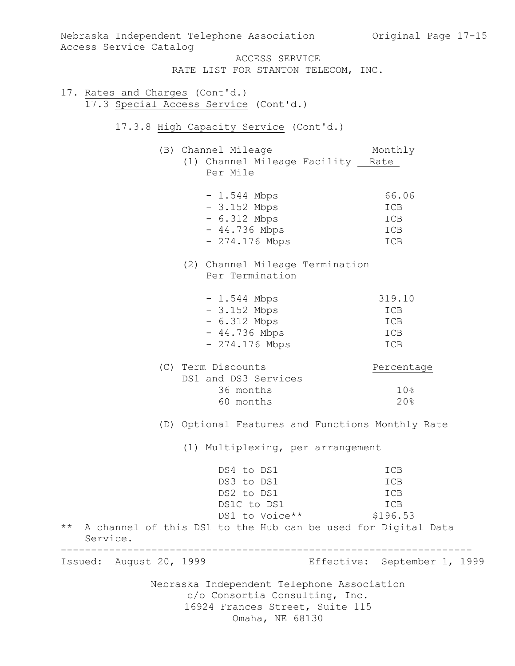Nebraska Independent Telephone Association c/o Consortia Consulting, Inc. 16924 Frances Street, Suite 115 Omaha, NE 68130 Nebraska Independent Telephone Association Original Page 17-15 Access Service Catalog ACCESS SERVICE RATE LIST FOR STANTON TELECOM, INC. 17. Rates and Charges (Cont'd.) 17.3 Special Access Service (Cont'd.) 17.3.8 High Capacity Service (Cont'd.) (B) Channel Mileage Monthly (1) Channel Mileage Facility Rate Per Mile - 1.544 Mbps 66.06 - 3.152 Mbps ICB - 6.312 Mbps ICB - 44.736 Mbps ICB  $- 274.176 \text{ Mbps}$  ICB (2) Channel Mileage Termination Per Termination - 1.544 Mbps 319.10 - 3.152 Mbps ICB - 6.312 Mbps ICB - 44.736 Mbps ICB - 274.176 Mbps ICB (C) Term Discounts Percentage DS1 and DS3 Services 36 months 10% 60 months 20% (D) Optional Features and Functions Monthly Rate (1) Multiplexing, per arrangement DS4 to DS1 ICB DS3 to DS1 ICB DS2 to DS1 ICB DS1C to DS1 ICB DS1 to Voice \*\* \$196.53 \*\* A channel of this DS1 to the Hub can be used for Digital Data Service. -------------------------------------------------------------------- Issued: August 20, 1999 Effective: September 1, 1999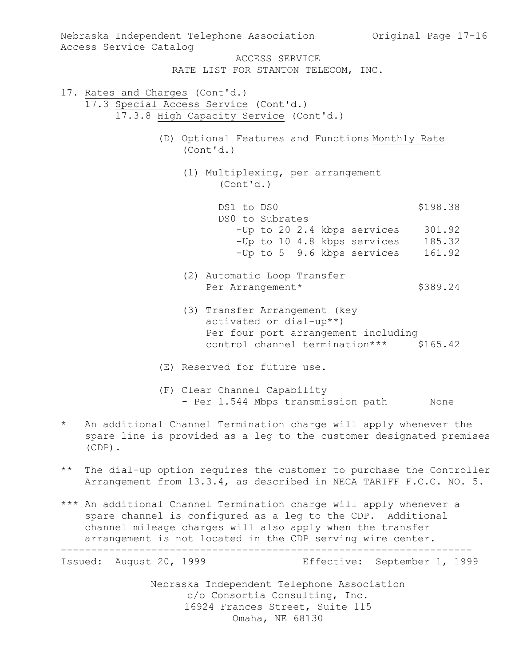Nebraska Independent Telephone Association Original Page 17-16 Access Service Catalog ACCESS SERVICE RATE LIST FOR STANTON TELECOM, INC. 17. Rates and Charges (Cont'd.) 17.3 Special Access Service (Cont'd.) 17.3.8 High Capacity Service (Cont'd.) (D) Optional Features and Functions Monthly Rate (Cont'd.) (1) Multiplexing, per arrangement (Cont'd.) DS1 to DS0 \$198.38 DS0 to Subrates -Up to 20 2.4 kbps services 301.92 -Up to 10 4.8 kbps services 185.32 -Up to 5 9.6 kbps services 161.92 (2) Automatic Loop Transfer Per Arrangement\* \$389.24 (3) Transfer Arrangement (key activated or dial-up\*\*) Per four port arrangement including control channel termination\*\*\* \$165.42 (E) Reserved for future use. (F) Clear Channel Capability - Per 1.544 Mbps transmission path None \* An additional Channel Termination charge will apply whenever the spare line is provided as a leg to the customer designated premises (CDP). \*\* The dial-up option requires the customer to purchase the Controller Arrangement from 13.3.4, as described in NECA TARIFF F.C.C. NO. 5. \*\*\* An additional Channel Termination charge will apply whenever a spare channel is configured as a leg to the CDP. Additional channel mileage charges will also apply when the transfer arrangement is not located in the CDP serving wire center. -------------------------------------------------------------------- Issued: August 20, 1999 Effective: September 1, 1999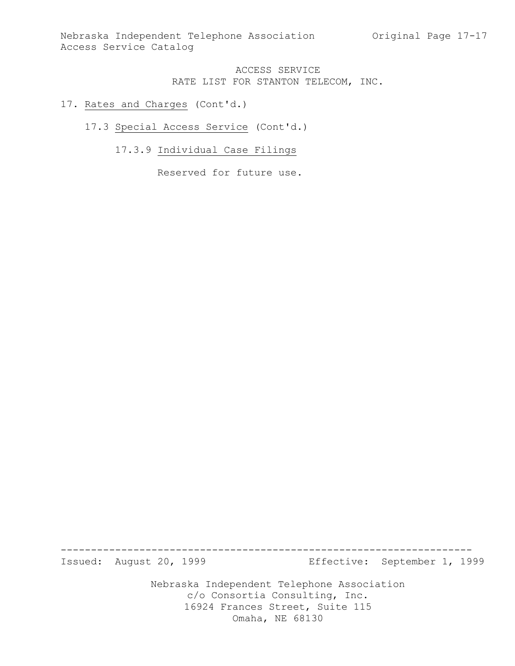Nebraska Independent Telephone Association Original Page 17-17 Access Service Catalog

### ACCESS SERVICE RATE LIST FOR STANTON TELECOM, INC.

#### 17. Rates and Charges (Cont'd.)

#### 17.3 Special Access Service (Cont'd.)

# 17.3.9 Individual Case Filings

Reserved for future use.

-------------------------------------------------------------------- Issued: August 20, 1999 Effective: September 1, 1999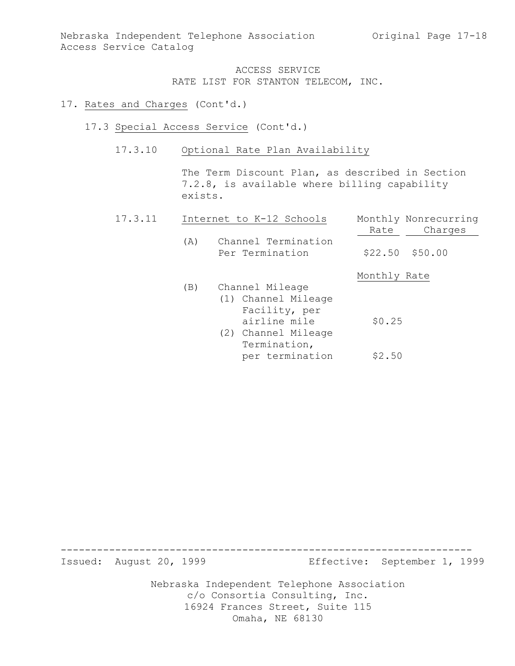Nebraska Independent Telephone Association Original Page 17-18 Access Service Catalog

> ACCESS SERVICE RATE LIST FOR STANTON TELECOM, INC.

#### 17. Rates and Charges (Cont'd.)

- 17.3 Special Access Service (Cont'd.)
	- 17.3.10 Optional Rate Plan Availability

The Term Discount Plan, as described in Section 7.2.8, is available where billing capability exists.

| 17.3.11 |     | Internet to K-12 Schools               | Monthly Nonrecurring |  |
|---------|-----|----------------------------------------|----------------------|--|
|         |     |                                        | Charges<br>Rate      |  |
|         | (A) | Channel Termination<br>Per Termination | $$22.50$ $$50.00$    |  |
|         |     |                                        | Monthly Rate         |  |
|         | (B) | Channel Mileage                        |                      |  |
|         |     | (1) Channel Mileage                    |                      |  |
|         |     | Facility, per                          |                      |  |
|         |     | airline mile                           | \$0.25               |  |
|         |     | (2) Channel Mileage                    |                      |  |
|         |     | Termination,                           |                      |  |
|         |     | per termination                        | \$2.50               |  |

-------------------------------------------------------------------- Issued: August 20, 1999 Effective: September 1, 1999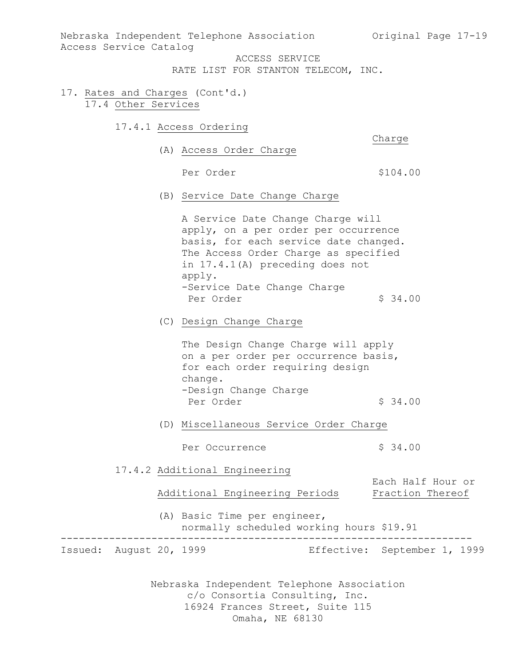Nebraska Independent Telephone Association (Original Page 17-19) Access Service Catalog

ACCESS SERVICE

RATE LIST FOR STANTON TELECOM, INC.

- 17. Rates and Charges (Cont'd.) 17.4 Other Services
	- 17.4.1 Access Ordering

Charge

(A) Access Order Charge

Per Order  $$104.00$ 

(B) Service Date Change Charge

A Service Date Change Charge will apply, on a per order per occurrence basis, for each service date changed. The Access Order Charge as specified in 17.4.1(A) preceding does not apply. -Service Date Change Charge Per Order  $\frac{1}{2}$  34.00

(C) Design Change Charge

The Design Change Charge will apply on a per order per occurrence basis, for each order requiring design change. -Design Change Charge Per Order \$ 34.00

- (D) Miscellaneous Service Order Charge
	- Per Occurrence  $\frac{1}{2}$  \$ 34.00

17.4.2 Additional Engineering

Each Half Hour or Additional Engineering Periods Fraction Thereof

> (A) Basic Time per engineer, normally scheduled working hours \$19.91

-------------------------------------------------------------------- Issued: August 20, 1999 Effective: September 1, 1999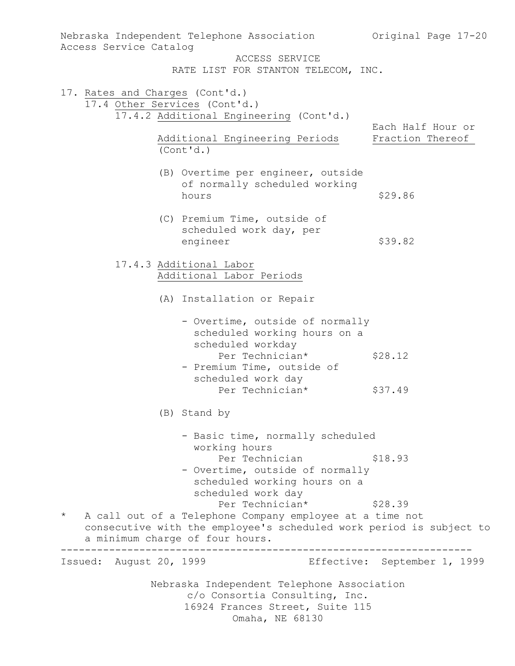| Access Service Catalog                                           | Nebraska Independent Telephone Association                                                                                                                                            | Original Page 17-20                   |
|------------------------------------------------------------------|---------------------------------------------------------------------------------------------------------------------------------------------------------------------------------------|---------------------------------------|
|                                                                  | ACCESS SERVICE<br>RATE LIST FOR STANTON TELECOM, INC.                                                                                                                                 |                                       |
| 17. Rates and Charges (Cont'd.)<br>17.4 Other Services (Cont'd.) | 17.4.2 Additional Engineering (Cont'd.)                                                                                                                                               |                                       |
|                                                                  | Additional Engineering Periods<br>(Cont'd.)                                                                                                                                           | Each Half Hour or<br>Fraction Thereof |
|                                                                  | (B) Overtime per engineer, outside<br>of normally scheduled working<br>hours                                                                                                          | \$29.86                               |
|                                                                  | (C) Premium Time, outside of<br>scheduled work day, per<br>engineer                                                                                                                   | \$39.82                               |
|                                                                  | 17.4.3 Additional Labor<br>Additional Labor Periods                                                                                                                                   |                                       |
|                                                                  | (A) Installation or Repair                                                                                                                                                            |                                       |
|                                                                  | - Overtime, outside of normally<br>scheduled working hours on a<br>scheduled workday<br>Per Technician*<br>- Premium Time, outside of<br>scheduled work day                           | \$28.12                               |
|                                                                  | Per Technician*                                                                                                                                                                       | \$37.49                               |
|                                                                  | (B) Stand by                                                                                                                                                                          |                                       |
|                                                                  | - Basic time, normally scheduled<br>working hours<br>Per Technician<br>- Overtime, outside of normally<br>scheduled working hours on a<br>scheduled work day                          | \$18.93                               |
| $\star$                                                          | Per Technician*<br>A call out of a Telephone Company employee at a time not<br>consecutive with the employee's scheduled work period is subject to<br>a minimum charge of four hours. | \$28.39                               |
| Issued: August 20, 1999                                          | . _ _ _ _ _ _ _ _ _                                                                                                                                                                   | Effective: September 1, 1999          |
|                                                                  | Nebraska Independent Telephone Association<br>c/o Consortia Consulting, Inc.<br>16924 Frances Street, Suite 115<br>Omaha, NE 68130                                                    |                                       |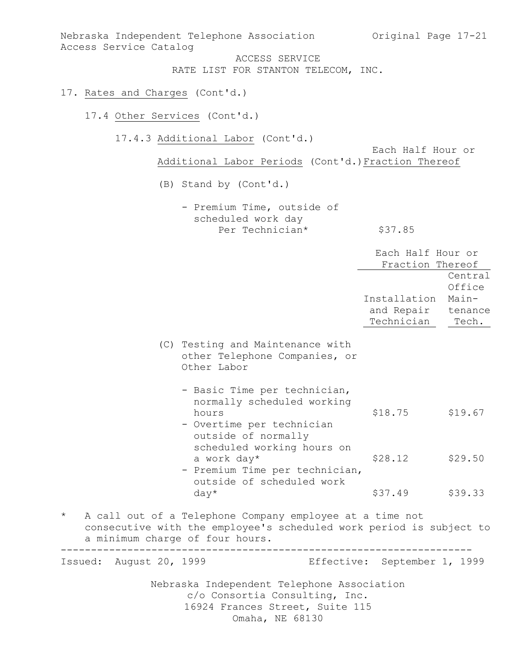| Access Service Catalog                     | Nebraska Independent Telephone Association<br>ACCESS SERVICE                                                                       | Original Page 17-21                      |                                                |
|--------------------------------------------|------------------------------------------------------------------------------------------------------------------------------------|------------------------------------------|------------------------------------------------|
|                                            | RATE LIST FOR STANTON TELECOM, INC.                                                                                                |                                          |                                                |
| 17. Rates and Charges (Cont'd.)            |                                                                                                                                    |                                          |                                                |
| 17.4 Other Services (Cont'd.)              |                                                                                                                                    |                                          |                                                |
|                                            | 17.4.3 Additional Labor (Cont'd.)                                                                                                  | Each Half Hour or                        |                                                |
|                                            | Additional Labor Periods (Cont'd.) Fraction Thereof                                                                                |                                          |                                                |
|                                            | (B) Stand by (Cont'd.)                                                                                                             |                                          |                                                |
|                                            | - Premium Time, outside of<br>scheduled work day<br>Per Technician*                                                                | \$37.85                                  |                                                |
|                                            |                                                                                                                                    | Each Half Hour or<br>Fraction Thereof    |                                                |
|                                            |                                                                                                                                    | Installation<br>and Repair<br>Technician | Central<br>Office<br>Main-<br>tenance<br>Tech. |
|                                            | (C) Testing and Maintenance with<br>other Telephone Companies, or<br>Other Labor                                                   |                                          |                                                |
|                                            | - Basic Time per technician,<br>normally scheduled working<br>hours<br>- Overtime per technician<br>outside of normally            | $$18.75$ $$19.67$                        |                                                |
| a work day*                                | scheduled working hours on<br>- Premium Time per technician,<br>outside of scheduled work                                          | \$28.12                                  | \$29.50                                        |
|                                            | $day*$                                                                                                                             | \$37.49                                  | \$39.33                                        |
| $\star$<br>a minimum charge of four hours. | A call out of a Telephone Company employee at a time not<br>consecutive with the employee's scheduled work period is subject to    |                                          |                                                |
| Issued: August 20, 1999                    |                                                                                                                                    | Effective: September 1, 1999             |                                                |
|                                            | Nebraska Independent Telephone Association<br>c/o Consortia Consulting, Inc.<br>16924 Frances Street, Suite 115<br>Omaha, NE 68130 |                                          |                                                |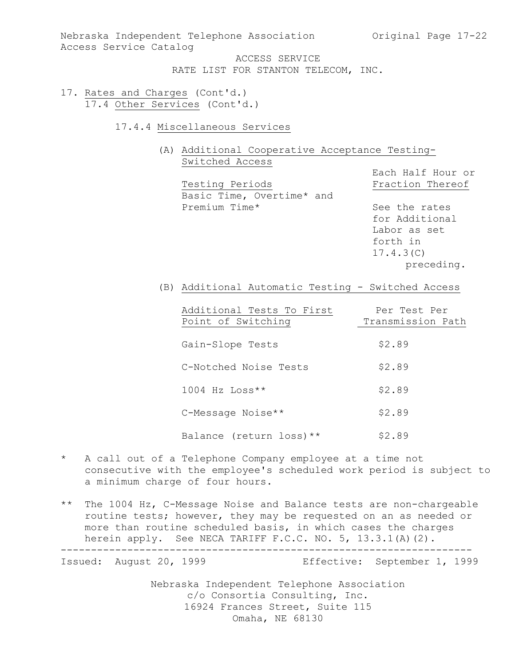Nebraska Independent Telephone Association (Original Page 17-22) Access Service Catalog

> ACCESS SERVICE RATE LIST FOR STANTON TELECOM, INC.

- 17. Rates and Charges (Cont'd.) 17.4 Other Services (Cont'd.)
	- 17.4.4 Miscellaneous Services
		- (A) Additional Cooperative Acceptance Testing-Switched Access

|                           | Each Half Hour or |
|---------------------------|-------------------|
| Testing Periods           | Fraction Thereof  |
| Basic Time, Overtime* and |                   |
| Premium Time*             | See the rates     |
|                           | for Additional    |
|                           | Labor as set      |
|                           | forth in          |
|                           | 17.4.3(C)         |
|                           | preceding.        |
|                           |                   |

(B) Additional Automatic Testing - Switched Access

| Additional Tests To First  | Per Test Per      |
|----------------------------|-------------------|
| Point of Switching         | Transmission Path |
|                            |                   |
| Gain-Slope Tests           | \$2.89            |
|                            |                   |
| C-Notched Noise Tests      | \$2.89            |
|                            |                   |
| $1004$ Hz Loss**           | \$2.89            |
|                            |                   |
| C-Message Noise**          | \$2.89            |
|                            |                   |
| Balance (return loss) $**$ | \$2.89            |

\* A call out of a Telephone Company employee at a time not consecutive with the employee's scheduled work period is subject to a minimum charge of four hours.

\*\* The 1004 Hz, C-Message Noise and Balance tests are non-chargeable routine tests; however, they may be requested on an as needed or more than routine scheduled basis, in which cases the charges herein apply. See NECA TARIFF F.C.C. NO. 5, 13.3.1(A)(2). --------------------------------------------------------------------

Issued: August 20, 1999 Effective: September 1, 1999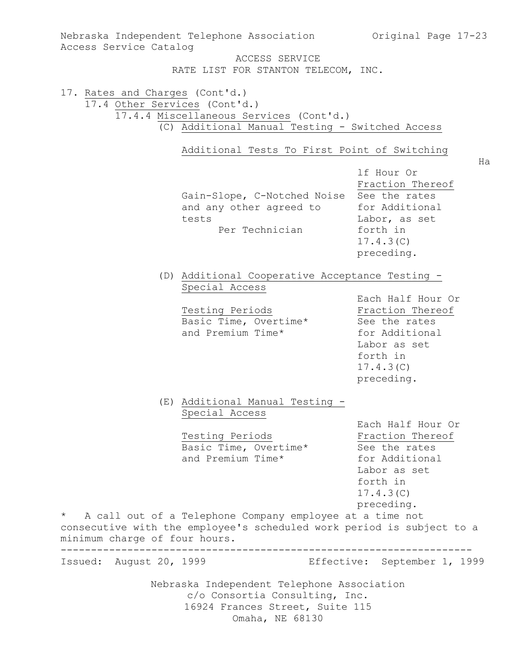| Access Service Catalog                                           | Nebraska Independent Telephone Association Original Page 17-23<br>ACCESS SERVICE                                                                                                                                                                        |                                                                                                                                 |
|------------------------------------------------------------------|---------------------------------------------------------------------------------------------------------------------------------------------------------------------------------------------------------------------------------------------------------|---------------------------------------------------------------------------------------------------------------------------------|
|                                                                  | RATE LIST FOR STANTON TELECOM, INC.                                                                                                                                                                                                                     |                                                                                                                                 |
| 17. Rates and Charges (Cont'd.)<br>17.4 Other Services (Cont'd.) | 17.4.4 Miscellaneous Services (Cont'd.)<br>(C) Additional Manual Testing - Switched Access<br>Additional Tests To First Point of Switching                                                                                                              |                                                                                                                                 |
|                                                                  | Gain-Slope, C-Notched Noise<br>and any other agreed to<br>tests<br>Per Technician                                                                                                                                                                       | Ha<br>lf Hour Or<br>Fraction Thereof<br>See the rates<br>for Additional<br>Labor, as set<br>forth in<br>17.4.3(C)<br>preceding. |
|                                                                  | (D) Additional Cooperative Acceptance Testing -<br>Special Access<br>Testing Periods<br>Basic Time, Overtime*<br>and Premium Time*                                                                                                                      | Each Half Hour Or<br>Fraction Thereof<br>See the rates<br>for Additional<br>Labor as set<br>forth in<br>17.4.3(C)<br>preceding. |
| $\star$<br>minimum charge of four hours.                         | (E) Additional Manual Testing -<br>Special Access<br>Testing Periods<br>Basic Time, Overtime*<br>and Premium Time*<br>A call out of a Telephone Company employee at a time not<br>consecutive with the employee's scheduled work period is subject to a | Each Half Hour Or<br>Fraction Thereof<br>See the rates<br>for Additional<br>Labor as set<br>forth in<br>17.4.3(C)<br>preceding. |
| Issued: August 20, 1999                                          |                                                                                                                                                                                                                                                         | Effective: September 1, 1999                                                                                                    |
|                                                                  | Nebraska Independent Telephone Association<br>c/o Consortia Consulting, Inc.<br>16924 Frances Street, Suite 115<br>Omaha, NE 68130                                                                                                                      |                                                                                                                                 |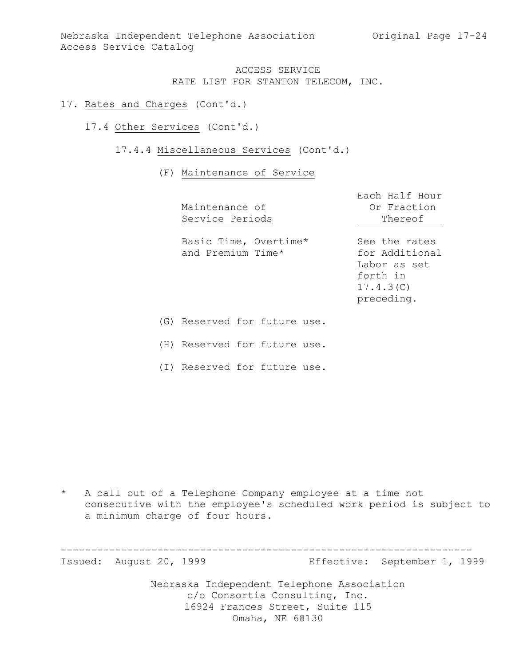Nebraska Independent Telephone Association (Original Page 17-24) Access Service Catalog

### ACCESS SERVICE RATE LIST FOR STANTON TELECOM, INC.

- 17. Rates and Charges (Cont'd.)
	- 17.4 Other Services (Cont'd.)
		- 17.4.4 Miscellaneous Services (Cont'd.)

#### (F) Maintenance of Service

| Maintenance of<br>Service Periods          | Each Half Hour<br>Or Fraction<br>Thereof                                               |
|--------------------------------------------|----------------------------------------------------------------------------------------|
| Basic Time, Overtime*<br>and Premium Time* | See the rates<br>for Additional<br>Labor as set<br>forth in<br>17.4.3(C)<br>preceding. |
| (G) Reserved for future use.               |                                                                                        |

(H) Reserved for future use.

(I) Reserved for future use.

\* A call out of a Telephone Company employee at a time not consecutive with the employee's scheduled work period is subject to a minimum charge of four hours.

Nebraska Independent Telephone Association c/o Consortia Consulting, Inc. 16924 Frances Street, Suite 115 -------------------------------------------------------------------- Issued: August 20, 1999 Effective: September 1, 1999

Omaha, NE 68130